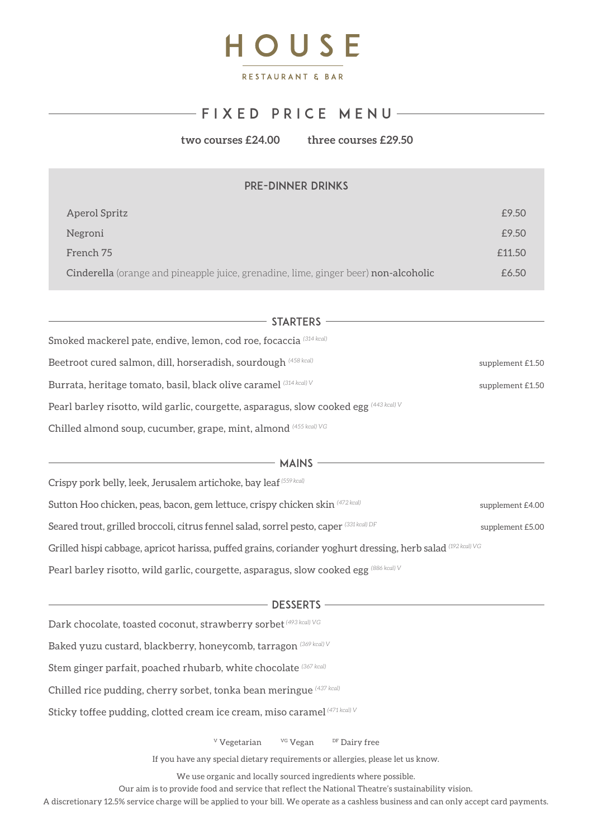

## $-FIX E D P RIC E M EN U -$

**two courses £24.00 three courses £29.50** 

| <b>PRE-DINNER DRINKS</b> |  |
|--------------------------|--|
|                          |  |

| Aperol Spritz                                                                       | £9.50  |
|-------------------------------------------------------------------------------------|--------|
| Negroni                                                                             | £9.50  |
| French 75                                                                           | f11.50 |
| Cinderella (orange and pineapple juice, grenadine, lime, ginger beer) non-alcoholic | £6.50  |

| STARTERS                                                                                      |                  |
|-----------------------------------------------------------------------------------------------|------------------|
| Smoked mackerel pate, endive, lemon, cod roe, focaccia $^{\left(314\,\text{kcal}\right)}$     |                  |
| Beetroot cured salmon, dill, horseradish, sourdough $^{(458\,kcal)}$                          | supplement £1.50 |
| Burrata, heritage tomato, basil, black olive caramel $^{(314\, \text{kcal})\, \text{V}}$      | supplement £1.50 |
| Pearl barley risotto, wild garlic, courgette, asparagus, slow cooked egg $^{(443\,kcal)}$ $V$ |                  |
| Chilled almond soup, cucumber, grape, mint, almond (455 kcal) VG                              |                  |

| <b>MAINS</b>                                                                                                             |                  |
|--------------------------------------------------------------------------------------------------------------------------|------------------|
| Crispy pork belly, leek, Jerusalem artichoke, bay leaf (559 kcal)                                                        |                  |
| Sutton Hoo chicken, peas, bacon, gem lettuce, crispy chicken skin (472 kcal)                                             | supplement £4.00 |
| Seared trout, grilled broccoli, citrus fennel salad, sorrel pesto, caper $^{(331\,kcal})$ DF                             | supplement £5.00 |
| Grilled hispi cabbage, apricot harissa, puffed grains, coriander yoghurt dressing, herb salad $^{(192\, \rm kcal) \,VG}$ |                  |
| Pearl barley risotto, wild garlic, courgette, asparagus, slow cooked egg (886 kcal) V                                    |                  |

## $-$  DESSERTS  $-$

Dark chocolate, toasted coconut, strawberry sorbet *(493 kcal) VG*

Baked yuzu custard, blackberry, honeycomb, tarragon *(369 kcal) V* 

Stem ginger parfait, poached rhubarb, white chocolate *(367 kcal)* 

Chilled rice pudding, cherry sorbet, tonka bean meringue *(437 kcal)* 

Sticky toffee pudding, clotted cream ice cream, miso caramel *(471 kcal) V*

<sup>V</sup> Vegetarian <sup>VG</sup> Vegan <sup>DF</sup> Dairy free

If you have any special dietary requirements or allergies, please let us know.

We use organic and locally sourced ingredients where possible.

Our aim is to provide food and service that reflect the National Theatre's sustainability vision.

A discretionary 12.5% service charge will be applied to your bill. We operate as a cashless business and can only accept card payments.